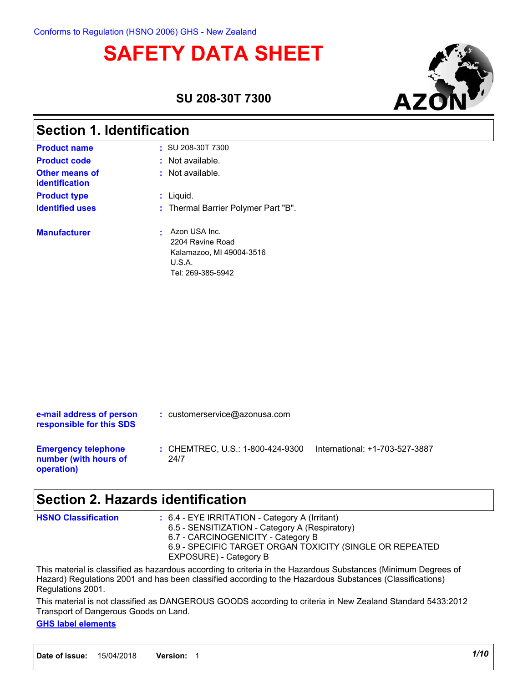# **SAFETY DATA SHEET**



**SU 208-30T 7300**

| <b>Section 1. Identification</b> |                                                                                              |  |  |  |
|----------------------------------|----------------------------------------------------------------------------------------------|--|--|--|
| <b>Product name</b>              | $:$ SU 208-30T 7300                                                                          |  |  |  |
| <b>Product code</b>              | $:$ Not available.                                                                           |  |  |  |
| Other means of<br>identification | : Not available.                                                                             |  |  |  |
| <b>Product type</b>              | : Liquid.                                                                                    |  |  |  |
| <b>Identified uses</b>           | : Thermal Barrier Polymer Part "B".                                                          |  |  |  |
| <b>Manufacturer</b>              | Azon USA Inc.<br>2204 Ravine Road<br>Kalamazoo, MI 49004-3516<br>U.S.A.<br>Tel: 269-385-5942 |  |  |  |

| e-mail address of person<br>responsible for this SDS              | $:$ customerservice@azonusa.com          |                                |
|-------------------------------------------------------------------|------------------------------------------|--------------------------------|
| <b>Emergency telephone</b><br>number (with hours of<br>operation) | : CHEMTREC, U.S.: 1-800-424-9300<br>24/7 | International: +1-703-527-3887 |

### **Section 2. Hazards identification**

| <b>HSNO Classification</b> | $: 6.4$ - EYE IRRITATION - Category A (Irritant)                                                               |
|----------------------------|----------------------------------------------------------------------------------------------------------------|
|                            | 6.5 - SENSITIZATION - Category A (Respiratory)                                                                 |
|                            | 6.7 - CARCINOGENICITY - Category B                                                                             |
|                            | 6.9 - SPECIFIC TARGET ORGAN TOXICITY (SINGLE OR REPEATED                                                       |
|                            | EXPOSURE) - Category B                                                                                         |
|                            | This material is classified as hazardous according to criteria in the Hazardous Substances (Minimum Degrees of |

This material is classified as hazardous according to criteria in the Hazardous Substances (Minimum Degrees of Hazard) Regulations 2001 and has been classified according to the Hazardous Substances (Classifications) Regulations 2001.

This material is not classified as DANGEROUS GOODS according to criteria in New Zealand Standard 5433:2012 Transport of Dangerous Goods on Land.

#### **GHS label elements**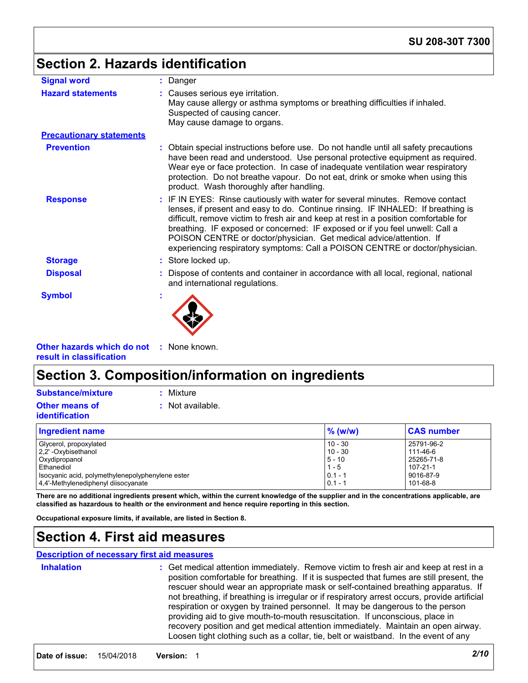# **Section 2. Hazards identification**

| <b>Signal word</b>              | : Danger                                                                                                                                                                                                                                                                                                                                                                                                                                                                                         |  |
|---------------------------------|--------------------------------------------------------------------------------------------------------------------------------------------------------------------------------------------------------------------------------------------------------------------------------------------------------------------------------------------------------------------------------------------------------------------------------------------------------------------------------------------------|--|
| <b>Hazard statements</b>        | : Causes serious eye irritation.<br>May cause allergy or asthma symptoms or breathing difficulties if inhaled.<br>Suspected of causing cancer.<br>May cause damage to organs.                                                                                                                                                                                                                                                                                                                    |  |
| <b>Precautionary statements</b> |                                                                                                                                                                                                                                                                                                                                                                                                                                                                                                  |  |
| <b>Prevention</b>               | : Obtain special instructions before use. Do not handle until all safety precautions<br>have been read and understood. Use personal protective equipment as required.<br>Wear eye or face protection. In case of inadequate ventilation wear respiratory<br>protection. Do not breathe vapour. Do not eat, drink or smoke when using this<br>product. Wash thoroughly after handling.                                                                                                            |  |
| <b>Response</b>                 | : IF IN EYES: Rinse cautiously with water for several minutes. Remove contact<br>lenses, if present and easy to do. Continue rinsing. IF INHALED: If breathing is<br>difficult, remove victim to fresh air and keep at rest in a position comfortable for<br>breathing. IF exposed or concerned: IF exposed or if you feel unwell: Call a<br>POISON CENTRE or doctor/physician. Get medical advice/attention. If<br>experiencing respiratory symptoms: Call a POISON CENTRE or doctor/physician. |  |
| <b>Storage</b>                  | : Store locked up.                                                                                                                                                                                                                                                                                                                                                                                                                                                                               |  |
| <b>Disposal</b>                 | Dispose of contents and container in accordance with all local, regional, national<br>and international regulations.                                                                                                                                                                                                                                                                                                                                                                             |  |
| <b>Symbol</b>                   |                                                                                                                                                                                                                                                                                                                                                                                                                                                                                                  |  |

**Other hazards which do not :** None known. **result in classification**

# **Section 3. Composition/information on ingredients**

**Other means of identification Substance/mixture :** Mixture

**:** Not available.

| <b>Ingredient name</b>                           | $\%$ (w/w) | <b>CAS number</b> |
|--------------------------------------------------|------------|-------------------|
| Glycerol, propoxylated                           | $10 - 30$  | 25791-96-2        |
| 2,2' - Oxybisethanol                             | $10 - 30$  | 111-46-6          |
| Oxydipropanol                                    | $5 - 10$   | 25265-71-8        |
| Ethanediol                                       | $1 - 5$    | 107-21-1          |
| Isocyanic acid, polymethylenepolyphenylene ester | $0.1 - 1$  | 9016-87-9         |
| 4.4'-Methylenediphenyl diisocyanate              | $0.1 - 1$  | 101-68-8          |

**There are no additional ingredients present which, within the current knowledge of the supplier and in the concentrations applicable, are classified as hazardous to health or the environment and hence require reporting in this section.**

**Occupational exposure limits, if available, are listed in Section 8.**

### **Section 4. First aid measures**

#### **Description of necessary first aid measures**

| <b>Inhalation</b> | : Get medical attention immediately. Remove victim to fresh air and keep at rest in a<br>position comfortable for breathing. If it is suspected that fumes are still present, the<br>rescuer should wear an appropriate mask or self-contained breathing apparatus. If<br>not breathing, if breathing is irregular or if respiratory arrest occurs, provide artificial<br>respiration or oxygen by trained personnel. It may be dangerous to the person<br>providing aid to give mouth-to-mouth resuscitation. If unconscious, place in<br>recovery position and get medical attention immediately. Maintain an open airway.<br>Loosen tight clothing such as a collar, tie, belt or waistband. In the event of any |
|-------------------|---------------------------------------------------------------------------------------------------------------------------------------------------------------------------------------------------------------------------------------------------------------------------------------------------------------------------------------------------------------------------------------------------------------------------------------------------------------------------------------------------------------------------------------------------------------------------------------------------------------------------------------------------------------------------------------------------------------------|
|-------------------|---------------------------------------------------------------------------------------------------------------------------------------------------------------------------------------------------------------------------------------------------------------------------------------------------------------------------------------------------------------------------------------------------------------------------------------------------------------------------------------------------------------------------------------------------------------------------------------------------------------------------------------------------------------------------------------------------------------------|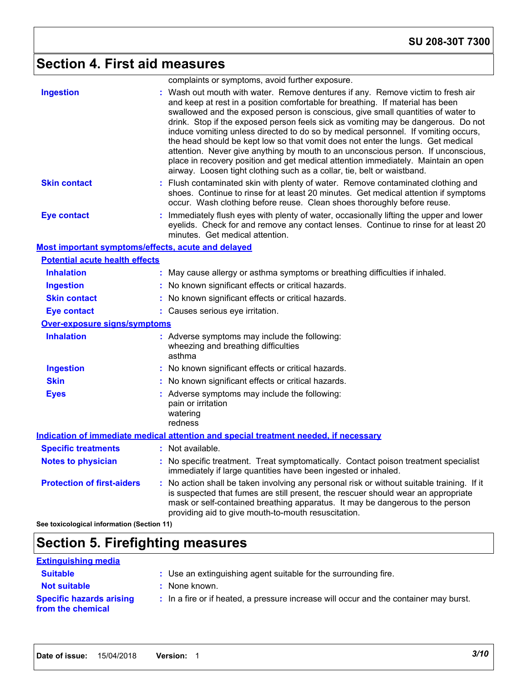# **Section 4. First aid measures**

|                                                    | complaints or symptoms, avoid further exposure.                                                                                                                                                                                                                                                                                                                                                                                                                                                                                                                                                                                                                                                                                                                           |
|----------------------------------------------------|---------------------------------------------------------------------------------------------------------------------------------------------------------------------------------------------------------------------------------------------------------------------------------------------------------------------------------------------------------------------------------------------------------------------------------------------------------------------------------------------------------------------------------------------------------------------------------------------------------------------------------------------------------------------------------------------------------------------------------------------------------------------------|
| <b>Ingestion</b>                                   | : Wash out mouth with water. Remove dentures if any. Remove victim to fresh air<br>and keep at rest in a position comfortable for breathing. If material has been<br>swallowed and the exposed person is conscious, give small quantities of water to<br>drink. Stop if the exposed person feels sick as vomiting may be dangerous. Do not<br>induce vomiting unless directed to do so by medical personnel. If vomiting occurs,<br>the head should be kept low so that vomit does not enter the lungs. Get medical<br>attention. Never give anything by mouth to an unconscious person. If unconscious,<br>place in recovery position and get medical attention immediately. Maintain an open<br>airway. Loosen tight clothing such as a collar, tie, belt or waistband. |
| <b>Skin contact</b>                                | : Flush contaminated skin with plenty of water. Remove contaminated clothing and<br>shoes. Continue to rinse for at least 20 minutes. Get medical attention if symptoms<br>occur. Wash clothing before reuse. Clean shoes thoroughly before reuse.                                                                                                                                                                                                                                                                                                                                                                                                                                                                                                                        |
| <b>Eye contact</b>                                 | : Immediately flush eyes with plenty of water, occasionally lifting the upper and lower<br>eyelids. Check for and remove any contact lenses. Continue to rinse for at least 20<br>minutes. Get medical attention.                                                                                                                                                                                                                                                                                                                                                                                                                                                                                                                                                         |
| Most important symptoms/effects, acute and delayed |                                                                                                                                                                                                                                                                                                                                                                                                                                                                                                                                                                                                                                                                                                                                                                           |
| <b>Potential acute health effects</b>              |                                                                                                                                                                                                                                                                                                                                                                                                                                                                                                                                                                                                                                                                                                                                                                           |
| <b>Inhalation</b>                                  | : May cause allergy or asthma symptoms or breathing difficulties if inhaled.                                                                                                                                                                                                                                                                                                                                                                                                                                                                                                                                                                                                                                                                                              |
| <b>Ingestion</b>                                   | : No known significant effects or critical hazards.                                                                                                                                                                                                                                                                                                                                                                                                                                                                                                                                                                                                                                                                                                                       |
| <b>Skin contact</b>                                | : No known significant effects or critical hazards.                                                                                                                                                                                                                                                                                                                                                                                                                                                                                                                                                                                                                                                                                                                       |
| <b>Eye contact</b>                                 | : Causes serious eye irritation.                                                                                                                                                                                                                                                                                                                                                                                                                                                                                                                                                                                                                                                                                                                                          |
| <u>Over-exposure signs/symptoms</u>                |                                                                                                                                                                                                                                                                                                                                                                                                                                                                                                                                                                                                                                                                                                                                                                           |
| <b>Inhalation</b>                                  | : Adverse symptoms may include the following:<br>wheezing and breathing difficulties<br>asthma                                                                                                                                                                                                                                                                                                                                                                                                                                                                                                                                                                                                                                                                            |
| <b>Ingestion</b>                                   | : No known significant effects or critical hazards.                                                                                                                                                                                                                                                                                                                                                                                                                                                                                                                                                                                                                                                                                                                       |
| <b>Skin</b>                                        | : No known significant effects or critical hazards.                                                                                                                                                                                                                                                                                                                                                                                                                                                                                                                                                                                                                                                                                                                       |
| <b>Eyes</b>                                        | : Adverse symptoms may include the following:<br>pain or irritation<br>watering<br>redness                                                                                                                                                                                                                                                                                                                                                                                                                                                                                                                                                                                                                                                                                |
|                                                    | Indication of immediate medical attention and special treatment needed, if necessary                                                                                                                                                                                                                                                                                                                                                                                                                                                                                                                                                                                                                                                                                      |
| <b>Specific treatments</b>                         | : Not available.                                                                                                                                                                                                                                                                                                                                                                                                                                                                                                                                                                                                                                                                                                                                                          |
| <b>Notes to physician</b>                          | : No specific treatment. Treat symptomatically. Contact poison treatment specialist<br>immediately if large quantities have been ingested or inhaled.                                                                                                                                                                                                                                                                                                                                                                                                                                                                                                                                                                                                                     |
| <b>Protection of first-aiders</b>                  | : No action shall be taken involving any personal risk or without suitable training. If it<br>is suspected that fumes are still present, the rescuer should wear an appropriate<br>mask or self-contained breathing apparatus. It may be dangerous to the person<br>providing aid to give mouth-to-mouth resuscitation.                                                                                                                                                                                                                                                                                                                                                                                                                                                   |
| See toxicological information (Section 11)         |                                                                                                                                                                                                                                                                                                                                                                                                                                                                                                                                                                                                                                                                                                                                                                           |

# **Section 5. Firefighting measures**

| <b>Extinguishing media</b>                           |                                                                                       |
|------------------------------------------------------|---------------------------------------------------------------------------------------|
| <b>Suitable</b>                                      | : Use an extinguishing agent suitable for the surrounding fire.                       |
| <b>Not suitable</b>                                  | : None known.                                                                         |
| <b>Specific hazards arising</b><br>from the chemical | : In a fire or if heated, a pressure increase will occur and the container may burst. |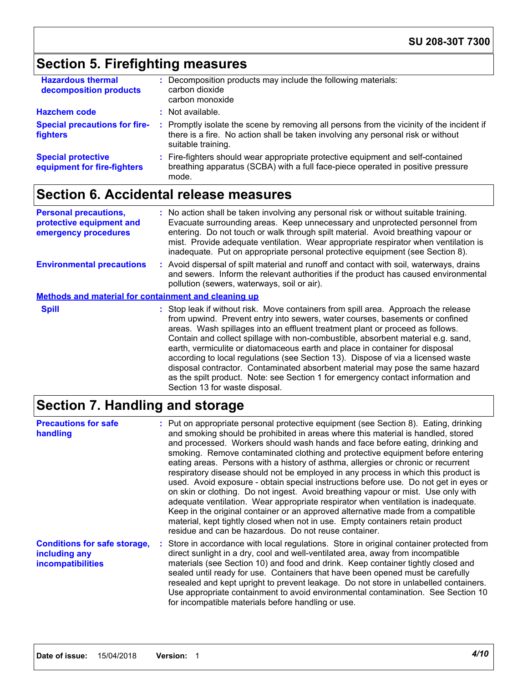# **Section 5. Firefighting measures**

| <b>Hazardous thermal</b><br>decomposition products       | Decomposition products may include the following materials:<br>carbon dioxide<br>carbon monoxide                                                                                                    |
|----------------------------------------------------------|-----------------------------------------------------------------------------------------------------------------------------------------------------------------------------------------------------|
| <b>Hazchem code</b>                                      | $:$ Not available.                                                                                                                                                                                  |
| <b>Special precautions for fire-</b><br>fighters         | : Promptly isolate the scene by removing all persons from the vicinity of the incident if<br>there is a fire. No action shall be taken involving any personal risk or without<br>suitable training. |
| <b>Special protective</b><br>equipment for fire-fighters | : Fire-fighters should wear appropriate protective equipment and self-contained<br>breathing apparatus (SCBA) with a full face-piece operated in positive pressure<br>mode.                         |

# **Section 6. Accidental release measures**

| <b>Personal precautions,</b><br>protective equipment and<br>emergency procedures | : No action shall be taken involving any personal risk or without suitable training.<br>Evacuate surrounding areas. Keep unnecessary and unprotected personnel from<br>entering. Do not touch or walk through spilt material. Avoid breathing vapour or<br>mist. Provide adequate ventilation. Wear appropriate respirator when ventilation is<br>inadequate. Put on appropriate personal protective equipment (see Section 8).                                                                                                                                                                                                                                                                                   |
|----------------------------------------------------------------------------------|-------------------------------------------------------------------------------------------------------------------------------------------------------------------------------------------------------------------------------------------------------------------------------------------------------------------------------------------------------------------------------------------------------------------------------------------------------------------------------------------------------------------------------------------------------------------------------------------------------------------------------------------------------------------------------------------------------------------|
| <b>Environmental precautions</b>                                                 | : Avoid dispersal of spilt material and runoff and contact with soil, waterways, drains<br>and sewers. Inform the relevant authorities if the product has caused environmental<br>pollution (sewers, waterways, soil or air).                                                                                                                                                                                                                                                                                                                                                                                                                                                                                     |
| <b>Methods and material for containment and cleaning up</b>                      |                                                                                                                                                                                                                                                                                                                                                                                                                                                                                                                                                                                                                                                                                                                   |
| <b>Spill</b>                                                                     | : Stop leak if without risk. Move containers from spill area. Approach the release<br>from upwind. Prevent entry into sewers, water courses, basements or confined<br>areas. Wash spillages into an effluent treatment plant or proceed as follows.<br>Contain and collect spillage with non-combustible, absorbent material e.g. sand,<br>earth, vermiculite or diatomaceous earth and place in container for disposal<br>according to local regulations (see Section 13). Dispose of via a licensed waste<br>disposal contractor. Contaminated absorbent material may pose the same hazard<br>as the spilt product. Note: see Section 1 for emergency contact information and<br>Section 13 for waste disposal. |

# **Section 7. Handling and storage**

| <b>Precautions for safe</b><br>handling                                   | : Put on appropriate personal protective equipment (see Section 8). Eating, drinking<br>and smoking should be prohibited in areas where this material is handled, stored<br>and processed. Workers should wash hands and face before eating, drinking and<br>smoking. Remove contaminated clothing and protective equipment before entering<br>eating areas. Persons with a history of asthma, allergies or chronic or recurrent<br>respiratory disease should not be employed in any process in which this product is<br>used. Avoid exposure - obtain special instructions before use. Do not get in eyes or<br>on skin or clothing. Do not ingest. Avoid breathing vapour or mist. Use only with<br>adequate ventilation. Wear appropriate respirator when ventilation is inadequate.<br>Keep in the original container or an approved alternative made from a compatible<br>material, kept tightly closed when not in use. Empty containers retain product<br>residue and can be hazardous. Do not reuse container. |
|---------------------------------------------------------------------------|-------------------------------------------------------------------------------------------------------------------------------------------------------------------------------------------------------------------------------------------------------------------------------------------------------------------------------------------------------------------------------------------------------------------------------------------------------------------------------------------------------------------------------------------------------------------------------------------------------------------------------------------------------------------------------------------------------------------------------------------------------------------------------------------------------------------------------------------------------------------------------------------------------------------------------------------------------------------------------------------------------------------------|
| <b>Conditions for safe storage,</b><br>including any<br>incompatibilities | : Store in accordance with local regulations. Store in original container protected from<br>direct sunlight in a dry, cool and well-ventilated area, away from incompatible<br>materials (see Section 10) and food and drink. Keep container tightly closed and<br>sealed until ready for use. Containers that have been opened must be carefully<br>resealed and kept upright to prevent leakage. Do not store in unlabelled containers.<br>Use appropriate containment to avoid environmental contamination. See Section 10<br>for incompatible materials before handling or use.                                                                                                                                                                                                                                                                                                                                                                                                                                     |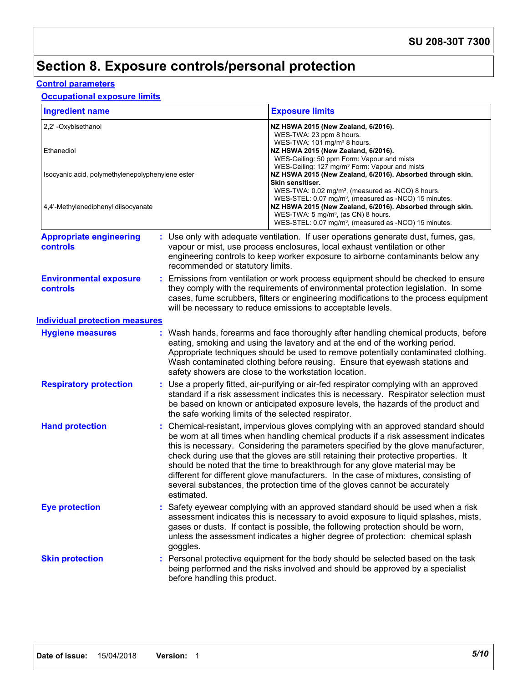# **Section 8. Exposure controls/personal protection**

### **Control parameters**

#### **Occupational exposure limits**

| <b>Ingredient name</b>                                                                  |          | <b>Exposure limits</b>                                                                                                                                                                                                                                                                                                                                                                                                                                                                                                                                                                                                    |  |
|-----------------------------------------------------------------------------------------|----------|---------------------------------------------------------------------------------------------------------------------------------------------------------------------------------------------------------------------------------------------------------------------------------------------------------------------------------------------------------------------------------------------------------------------------------------------------------------------------------------------------------------------------------------------------------------------------------------------------------------------------|--|
| 2,2' - Oxybisethanol<br>Ethanediol                                                      |          | NZ HSWA 2015 (New Zealand, 6/2016).<br>WES-TWA: 23 ppm 8 hours.<br>WES-TWA: 101 mg/m <sup>3</sup> 8 hours.<br>NZ HSWA 2015 (New Zealand, 6/2016).<br>WES-Ceiling: 50 ppm Form: Vapour and mists                                                                                                                                                                                                                                                                                                                                                                                                                           |  |
| Isocyanic acid, polymethylenepolyphenylene ester<br>4,4'-Methylenediphenyl diisocyanate |          | WES-Ceiling: 127 mg/m <sup>3</sup> Form: Vapour and mists<br>NZ HSWA 2015 (New Zealand, 6/2016). Absorbed through skin.<br>Skin sensitiser.<br>WES-TWA: 0.02 mg/m <sup>3</sup> , (measured as -NCO) 8 hours.<br>WES-STEL: 0.07 mg/m <sup>3</sup> , (measured as -NCO) 15 minutes.<br>NZ HSWA 2015 (New Zealand, 6/2016). Absorbed through skin.<br>WES-TWA: 5 mg/m <sup>3</sup> , (as CN) 8 hours.                                                                                                                                                                                                                        |  |
| <b>Appropriate engineering</b><br><b>controls</b>                                       |          | WES-STEL: 0.07 mg/m <sup>3</sup> , (measured as -NCO) 15 minutes.<br>: Use only with adequate ventilation. If user operations generate dust, fumes, gas,<br>vapour or mist, use process enclosures, local exhaust ventilation or other<br>engineering controls to keep worker exposure to airborne contaminants below any<br>recommended or statutory limits.                                                                                                                                                                                                                                                             |  |
| <b>Environmental exposure</b><br>controls                                               |          | : Emissions from ventilation or work process equipment should be checked to ensure<br>they comply with the requirements of environmental protection legislation. In some<br>cases, fume scrubbers, filters or engineering modifications to the process equipment<br>will be necessary to reduce emissions to acceptable levels.                                                                                                                                                                                                                                                                                           |  |
| <b>Individual protection measures</b>                                                   |          |                                                                                                                                                                                                                                                                                                                                                                                                                                                                                                                                                                                                                           |  |
| <b>Hygiene measures</b>                                                                 |          | : Wash hands, forearms and face thoroughly after handling chemical products, before<br>eating, smoking and using the lavatory and at the end of the working period.<br>Appropriate techniques should be used to remove potentially contaminated clothing.<br>Wash contaminated clothing before reusing. Ensure that eyewash stations and<br>safety showers are close to the workstation location.                                                                                                                                                                                                                         |  |
| <b>Respiratory protection</b>                                                           |          | : Use a properly fitted, air-purifying or air-fed respirator complying with an approved<br>standard if a risk assessment indicates this is necessary. Respirator selection must<br>be based on known or anticipated exposure levels, the hazards of the product and<br>the safe working limits of the selected respirator.                                                                                                                                                                                                                                                                                                |  |
| <b>Hand protection</b>                                                                  |          | : Chemical-resistant, impervious gloves complying with an approved standard should<br>be worn at all times when handling chemical products if a risk assessment indicates<br>this is necessary. Considering the parameters specified by the glove manufacturer,<br>check during use that the gloves are still retaining their protective properties. It<br>should be noted that the time to breakthrough for any glove material may be<br>different for different glove manufacturers. In the case of mixtures, consisting of<br>several substances, the protection time of the gloves cannot be accurately<br>estimated. |  |
| <b>Eye protection</b>                                                                   | goggles. | : Safety eyewear complying with an approved standard should be used when a risk<br>assessment indicates this is necessary to avoid exposure to liquid splashes, mists,<br>gases or dusts. If contact is possible, the following protection should be worn,<br>unless the assessment indicates a higher degree of protection: chemical splash                                                                                                                                                                                                                                                                              |  |
| <b>Skin protection</b>                                                                  |          | : Personal protective equipment for the body should be selected based on the task<br>being performed and the risks involved and should be approved by a specialist<br>before handling this product.                                                                                                                                                                                                                                                                                                                                                                                                                       |  |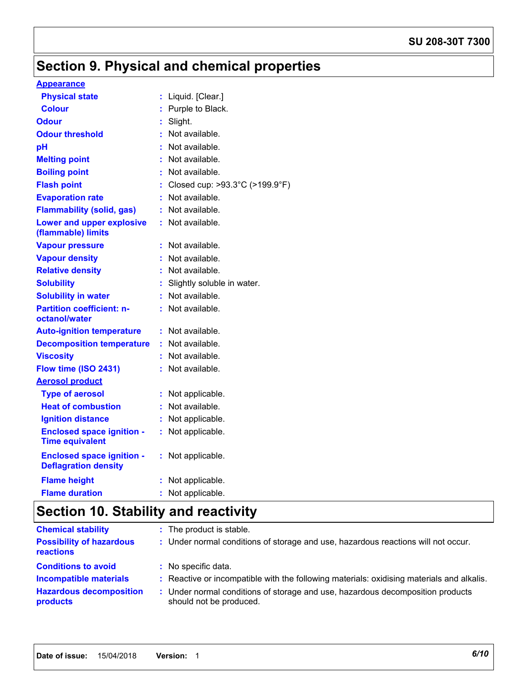#### **SU 208-30T 7300**

# **Section 9. Physical and chemical properties**

#### **Appearance**

| <b>Physical state</b>                                           |    | Liquid. [Clear.]               |
|-----------------------------------------------------------------|----|--------------------------------|
| <b>Colour</b>                                                   | ÷  | Purple to Black.               |
| <b>Odour</b>                                                    | t  | Slight.                        |
| <b>Odour threshold</b>                                          | ÷  | Not available.                 |
| pH                                                              | t  | Not available.                 |
| <b>Melting point</b>                                            | ÷. | Not available.                 |
| <b>Boiling point</b>                                            |    | Not available.                 |
| <b>Flash point</b>                                              |    | Closed cup: >93.3°C (>199.9°F) |
| <b>Evaporation rate</b>                                         | ÷  | Not available.                 |
| <b>Flammability (solid, gas)</b>                                | ÷  | Not available.                 |
| <b>Lower and upper explosive</b><br>(flammable) limits          | t. | Not available.                 |
| <b>Vapour pressure</b>                                          |    | Not available.                 |
| <b>Vapour density</b>                                           | ÷. | Not available.                 |
| <b>Relative density</b>                                         |    | : Not available.               |
| <b>Solubility</b>                                               |    | Slightly soluble in water.     |
| <b>Solubility in water</b>                                      | ÷. | Not available.                 |
| <b>Partition coefficient: n-</b><br>octanol/water               | ÷. | Not available.                 |
| <b>Auto-ignition temperature</b>                                | ÷. | Not available.                 |
| <b>Decomposition temperature</b>                                |    | Not available.                 |
| <b>Viscosity</b>                                                |    | Not available.                 |
| Flow time (ISO 2431)                                            |    | : Not available.               |
| <b>Aerosol product</b>                                          |    |                                |
| <b>Type of aerosol</b>                                          | ÷  | Not applicable.                |
| <b>Heat of combustion</b>                                       | ÷  | Not available.                 |
| <b>Ignition distance</b>                                        | ÷  | Not applicable.                |
| <b>Enclosed space ignition -</b><br><b>Time equivalent</b>      | ÷  | Not applicable.                |
| <b>Enclosed space ignition -</b><br><b>Deflagration density</b> | ÷  | Not applicable.                |
| <b>Flame height</b>                                             |    | Not applicable.                |
| <b>Flame duration</b>                                           |    | Not applicable.                |

# **Section 10. Stability and reactivity**

| <b>Chemical stability</b>                           | : The product is stable.                                                                                  |
|-----------------------------------------------------|-----------------------------------------------------------------------------------------------------------|
| <b>Possibility of hazardous</b><br><b>reactions</b> | : Under normal conditions of storage and use, hazardous reactions will not occur.                         |
| <b>Conditions to avoid</b>                          | : No specific data.                                                                                       |
| <b>Incompatible materials</b>                       | : Reactive or incompatible with the following materials: oxidising materials and alkalis.                 |
| <b>Hazardous decomposition</b><br>products          | : Under normal conditions of storage and use, hazardous decomposition products<br>should not be produced. |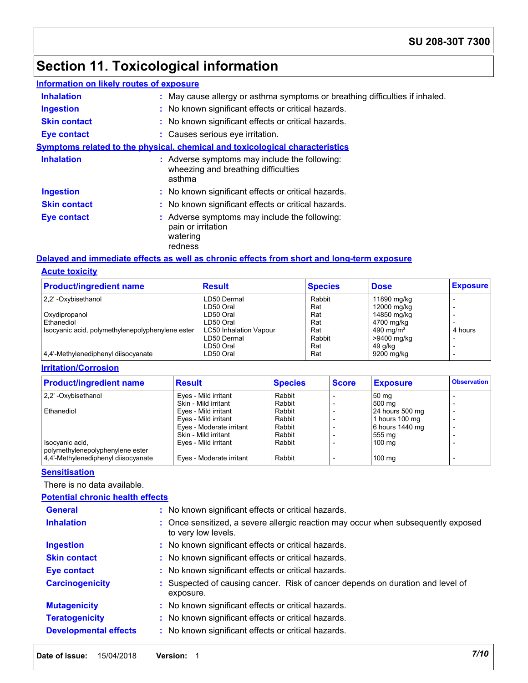# **Section 11. Toxicological information**

| Information on likely routes of exposure |                                                                                                |
|------------------------------------------|------------------------------------------------------------------------------------------------|
| <b>Inhalation</b>                        | : May cause allergy or asthma symptoms or breathing difficulties if inhaled.                   |
| <b>Ingestion</b>                         | : No known significant effects or critical hazards.                                            |
| <b>Skin contact</b>                      | : No known significant effects or critical hazards.                                            |
| <b>Eye contact</b>                       | : Causes serious eye irritation.                                                               |
|                                          | <b>Symptoms related to the physical, chemical and toxicological characteristics</b>            |
| <b>Inhalation</b>                        | : Adverse symptoms may include the following:<br>wheezing and breathing difficulties<br>asthma |
| <b>Ingestion</b>                         | : No known significant effects or critical hazards.                                            |
| <b>Skin contact</b>                      | : No known significant effects or critical hazards.                                            |
| <b>Eye contact</b>                       | : Adverse symptoms may include the following:<br>pain or irritation<br>watering<br>redness     |

#### **Acute toxicity Delayed and immediate effects as well as chronic effects from short and long-term exposure**

| <b>Product/ingredient name</b>                   | <b>Result</b>                 | <b>Species</b> | <b>Dose</b>  | <b>Exposure</b> |
|--------------------------------------------------|-------------------------------|----------------|--------------|-----------------|
| 2.2' - Oxybisethanol                             | LD50 Dermal                   | Rabbit         | 11890 mg/kg  |                 |
|                                                  | LD50 Oral                     | Rat            | 12000 mg/kg  |                 |
| Oxydipropanol                                    | LD50 Oral                     | Rat            | 14850 mg/kg  |                 |
| Ethanediol                                       | LD50 Oral                     | Rat            | 4700 mg/kg   |                 |
| Isocyanic acid, polymethylenepolyphenylene ester | <b>LC50 Inhalation Vapour</b> | Rat            | 490 mg/m $3$ | 4 hours         |
|                                                  | LD50 Dermal                   | Rabbit         | >9400 mg/kg  |                 |
|                                                  | LD50 Oral                     | Rat            | 49 g/kg      |                 |
| 4,4'-Methylenediphenyl diisocyanate              | LD50 Oral                     | Rat            | 9200 mg/kg   |                 |

#### **Irritation/Corrosion**

| <b>Product/ingredient name</b>      | <b>Result</b>            | <b>Species</b> | <b>Score</b> | <b>Exposure</b>  | <b>Observation</b> |
|-------------------------------------|--------------------------|----------------|--------------|------------------|--------------------|
| 2,2' -Oxybisethanol                 | Eyes - Mild irritant     | Rabbit         |              | 50 mg            |                    |
|                                     | Skin - Mild irritant     | Rabbit         |              | 500 mg           |                    |
| <b>Ethanediol</b>                   | Eyes - Mild irritant     | Rabbit         |              | 24 hours 500 mg  |                    |
|                                     | Eyes - Mild irritant     | Rabbit         |              | 1 hours 100 mg   |                    |
|                                     | Eyes - Moderate irritant | Rabbit         |              | 6 hours 1440 mg  |                    |
|                                     | Skin - Mild irritant     | Rabbit         |              | 555 mg           |                    |
| Isocyanic acid,                     | Eyes - Mild irritant     | Rabbit         |              | 100 mg           |                    |
| polymethylenepolyphenylene ester    |                          |                |              |                  |                    |
| 4.4'-Methylenediphenyl diisocyanate | Eyes - Moderate irritant | Rabbit         |              | $100 \text{ ma}$ |                    |

#### **Sensitisation**

There is no data available.

#### **Potential chronic health effects**

| <b>General</b>               | : No known significant effects or critical hazards.                                                      |
|------------------------------|----------------------------------------------------------------------------------------------------------|
| <b>Inhalation</b>            | : Once sensitized, a severe allergic reaction may occur when subsequently exposed<br>to very low levels. |
| <b>Ingestion</b>             | : No known significant effects or critical hazards.                                                      |
| <b>Skin contact</b>          | : No known significant effects or critical hazards.                                                      |
| <b>Eye contact</b>           | : No known significant effects or critical hazards.                                                      |
| <b>Carcinogenicity</b>       | : Suspected of causing cancer. Risk of cancer depends on duration and level of<br>exposure.              |
| <b>Mutagenicity</b>          | : No known significant effects or critical hazards.                                                      |
| <b>Teratogenicity</b>        | : No known significant effects or critical hazards.                                                      |
| <b>Developmental effects</b> | : No known significant effects or critical hazards.                                                      |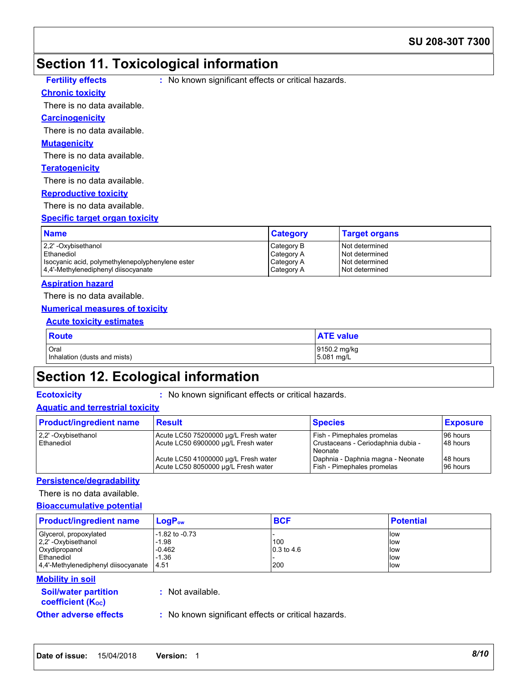### **Section 11. Toxicological information**

#### **Chronic toxicity**

**Fig. 2** No known significant effects or critical hazards.

#### There is no data available.

#### **Carcinogenicity**

There is no data available.

#### **Mutagenicity**

There is no data available.

#### **Teratogenicity**

There is no data available.

#### **Reproductive toxicity**

There is no data available.

#### **Specific target organ toxicity**

| <b>Name</b>                                      | <b>Category</b> | <b>Target organs</b> |
|--------------------------------------------------|-----------------|----------------------|
| 2.2' -Oxybisethanol                              | Category B      | I Not determined     |
| l Ethanediol                                     | Category A      | Not determined       |
| Isocyanic acid, polymethylenepolyphenylene ester | Category A      | Not determined       |
| 4.4'-Methylenediphenyl diisocyanate              | Category A      | Not determined       |

#### **Aspiration hazard**

There is no data available.

#### **Numerical measures of toxicity**

#### **Acute toxicity estimates**

| <b>Route</b>                 | <b>ATE value</b> |
|------------------------------|------------------|
| Oral                         | 9150.2 mg/kg     |
| Inhalation (dusts and mists) | 5.081 mg/L       |

# **Section 12. Ecological information**

**Ecotoxicity :** No known significant effects or critical hazards.

#### **Aquatic and terrestrial toxicity**

| <b>Product/ingredient name</b>     | <b>Result</b>                                                               | <b>Species</b>                                                              | <b>Exposure</b>      |
|------------------------------------|-----------------------------------------------------------------------------|-----------------------------------------------------------------------------|----------------------|
| 2,2' - Oxybisethanol<br>Ethanediol | Acute LC50 75200000 µg/L Fresh water<br>Acute LC50 6900000 µg/L Fresh water | Fish - Pimephales promelas<br>Crustaceans - Ceriodaphnia dubia -<br>Neonate | 96 hours<br>48 hours |
|                                    | Acute LC50 41000000 µg/L Fresh water<br>Acute LC50 8050000 ug/L Fresh water | Daphnia - Daphnia magna - Neonate<br>Fish - Pimephales promelas             | 48 hours<br>96 hours |

#### **Persistence/degradability**

#### There is no data available.

#### **Bioaccumulative potential**

| <b>Product/ingredient name</b>                 | LogP <sub>ow</sub> | <b>BCF</b>         | <b>Potential</b> |
|------------------------------------------------|--------------------|--------------------|------------------|
| Glycerol, propoxylated                         | $-1.82$ to $-0.73$ |                    | low              |
| 2,2'-Oxybisethanol                             | $-1.98$            | 100                | low              |
| Oxydipropanol                                  | $-0.462$           | $\vert$ 0.3 to 4.6 | <b>llow</b>      |
| l Ethanediol                                   | $-1.36$            |                    | low              |
| $ 4.4$ -Methylenediphenyl diisocyanate $ 4.51$ |                    | 200                | low              |

#### **Mobility in soil**

| <b>Soil/water partition</b> |  |
|-----------------------------|--|
| <b>coefficient (Koc)</b>    |  |

**:** Not available.

**Other adverse effects** : No known significant effects or critical hazards.

**Date of issue:** 15/04/2018 **Version:** 1 *8/10*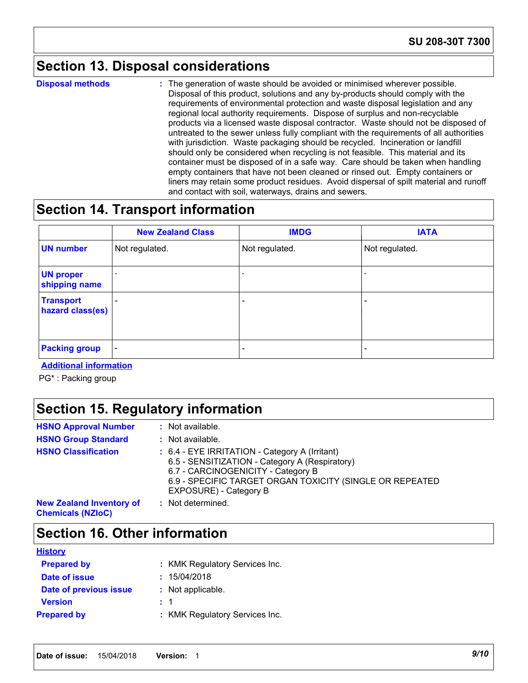### **Section 13. Disposal considerations**

**Disposal methods :**

The generation of waste should be avoided or minimised wherever possible. Disposal of this product, solutions and any by-products should comply with the requirements of environmental protection and waste disposal legislation and any regional local authority requirements. Dispose of surplus and non-recyclable products via a licensed waste disposal contractor. Waste should not be disposed of untreated to the sewer unless fully compliant with the requirements of all authorities with jurisdiction. Waste packaging should be recycled. Incineration or landfill should only be considered when recycling is not feasible. This material and its container must be disposed of in a safe way. Care should be taken when handling empty containers that have not been cleaned or rinsed out. Empty containers or liners may retain some product residues. Avoid dispersal of spilt material and runoff and contact with soil, waterways, drains and sewers.

### **Section 14. Transport information**

|                                      | <b>New Zealand Class</b> | <b>IMDG</b>              | <b>IATA</b>    |
|--------------------------------------|--------------------------|--------------------------|----------------|
| <b>UN number</b>                     | Not regulated.           | Not regulated.           | Not regulated. |
| <b>UN proper</b><br>shipping name    |                          |                          |                |
| <b>Transport</b><br>hazard class(es) |                          | $\overline{\phantom{a}}$ |                |
| <b>Packing group</b>                 | $\overline{\phantom{a}}$ | $\overline{\phantom{a}}$ |                |

**Additional information**

PG\* : Packing group

## **Section 15. Regulatory information**

| <b>HSNO Approval Number</b><br><b>HSNO Group Standard</b>   | : Not available.<br>: Not available.                                                                                                                                                                                         |
|-------------------------------------------------------------|------------------------------------------------------------------------------------------------------------------------------------------------------------------------------------------------------------------------------|
| <b>HSNO Classification</b>                                  | : 6.4 - EYE IRRITATION - Category A (Irritant)<br>6.5 - SENSITIZATION - Category A (Respiratory)<br>6.7 - CARCINOGENICITY - Category B<br>6.9 - SPECIFIC TARGET ORGAN TOXICITY (SINGLE OR REPEATED<br>EXPOSURE) - Category B |
| <b>New Zealand Inventory of</b><br><b>Chemicals (NZIoC)</b> | : Not determined.                                                                                                                                                                                                            |

### **Section 16. Other information**

| <b>History</b>         |                                |
|------------------------|--------------------------------|
| <b>Prepared by</b>     | : KMK Regulatory Services Inc. |
| Date of issue          | : 15/04/2018                   |
| Date of previous issue | : Not applicable.              |
| <b>Version</b>         | : 1                            |
| <b>Prepared by</b>     | : KMK Regulatory Services Inc. |